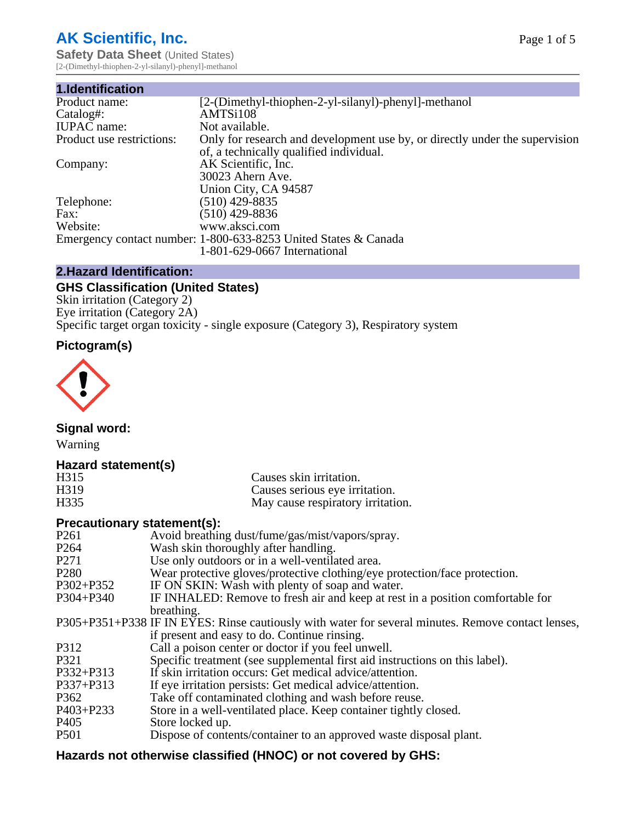# **AK Scientific, Inc.**

**Safety Data Sheet (United States)** [2-(Dimethyl-thiophen-2-yl-silanyl)-phenyl]-methanol

| 1.Identification          |                                                                                                                        |
|---------------------------|------------------------------------------------------------------------------------------------------------------------|
| Product name:             | [2-(Dimethyl-thiophen-2-yl-silanyl)-phenyl]-methanol                                                                   |
| Catalog#:                 | AMTSi108                                                                                                               |
| <b>IUPAC</b> name:        | Not available.                                                                                                         |
| Product use restrictions: | Only for research and development use by, or directly under the supervision<br>of, a technically qualified individual. |
| Company:                  | AK Scientific, Inc.<br>30023 Ahern Ave.<br>Union City, CA 94587                                                        |
| Telephone:                | $(510)$ 429-8835                                                                                                       |
| Fax:                      | (510) 429-8836                                                                                                         |
| Website:                  | www.aksci.com                                                                                                          |
|                           | Emergency contact number: 1-800-633-8253 United States & Canada<br>1-801-629-0667 International                        |

## **2.Hazard Identification:**

# **GHS Classification (United States)**

Skin irritation (Category 2) Eye irritation (Category 2A) Specific target organ toxicity - single exposure (Category 3), Respiratory system

## **Pictogram(s)**



**Signal word:**

Warning

## **Hazard statement(s)**

| H <sub>315</sub>  | Causes skin irritation.           |
|-------------------|-----------------------------------|
| H <sub>3</sub> 19 | Causes serious eye irritation.    |
| H335              | May cause respiratory irritation. |

## **Precautionary statement(s):**

| P <sub>261</sub> | Avoid breathing dust/fume/gas/mist/vapors/spray.                                                   |
|------------------|----------------------------------------------------------------------------------------------------|
| P <sub>264</sub> | Wash skin thoroughly after handling.                                                               |
| P <sub>271</sub> | Use only outdoors or in a well-ventilated area.                                                    |
| P <sub>280</sub> | Wear protective gloves/protective clothing/eye protection/face protection.                         |
| P302+P352        | IF ON SKIN: Wash with plenty of soap and water.                                                    |
| $P304 + P340$    | IF INHALED: Remove to fresh air and keep at rest in a position comfortable for                     |
|                  | breathing.                                                                                         |
|                  | P305+P351+P338 IF IN EYES: Rinse cautiously with water for several minutes. Remove contact lenses, |
|                  | if present and easy to do. Continue rinsing.                                                       |
| P312             | Call a poison center or doctor if you feel unwell.                                                 |
| P321             | Specific treatment (see supplemental first aid instructions on this label).                        |
| P332+P313        | If skin irritation occurs: Get medical advice/attention.                                           |
| P337+P313        | If eye irritation persists: Get medical advice/attention.                                          |
| P362             | Take off contaminated clothing and wash before reuse.                                              |
| $P403 + P233$    | Store in a well-ventilated place. Keep container tightly closed.                                   |
| P <sub>405</sub> | Store locked up.                                                                                   |
| P <sub>501</sub> | Dispose of contents/container to an approved waste disposal plant.                                 |
|                  |                                                                                                    |

# **Hazards not otherwise classified (HNOC) or not covered by GHS:**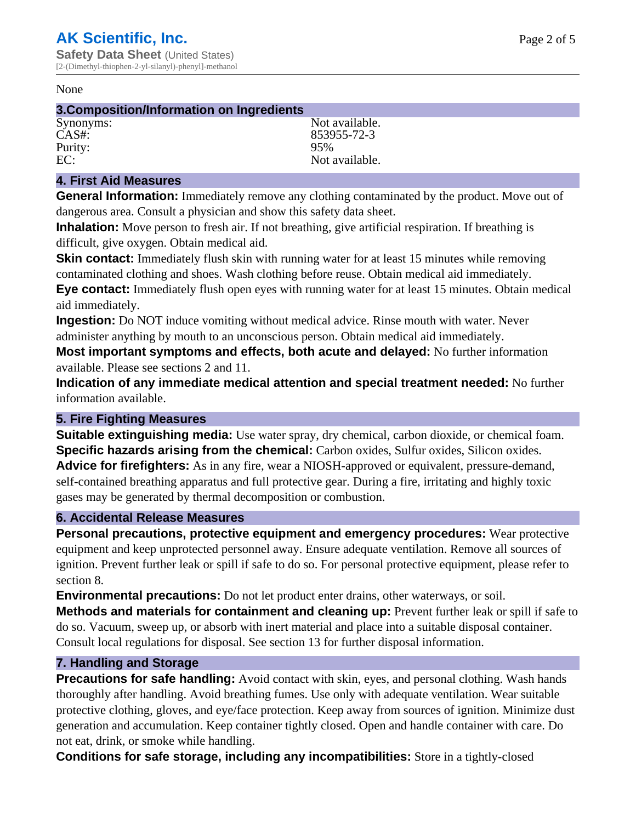#### None

#### **3.Composition/Information on Ingredients**

Purity:<br>EC:

Synonyms: Not available. CAS#: 853955-72-3<br>Purity: 95% 95% Not available.

## **4. First Aid Measures**

**General Information:** Immediately remove any clothing contaminated by the product. Move out of dangerous area. Consult a physician and show this safety data sheet.

**Inhalation:** Move person to fresh air. If not breathing, give artificial respiration. If breathing is difficult, give oxygen. Obtain medical aid.

**Skin contact:** Immediately flush skin with running water for at least 15 minutes while removing contaminated clothing and shoes. Wash clothing before reuse. Obtain medical aid immediately. **Eye contact:** Immediately flush open eyes with running water for at least 15 minutes. Obtain medical aid immediately.

**Ingestion:** Do NOT induce vomiting without medical advice. Rinse mouth with water. Never administer anything by mouth to an unconscious person. Obtain medical aid immediately.

**Most important symptoms and effects, both acute and delayed:** No further information available. Please see sections 2 and 11.

**Indication of any immediate medical attention and special treatment needed:** No further information available.

#### **5. Fire Fighting Measures**

**Suitable extinguishing media:** Use water spray, dry chemical, carbon dioxide, or chemical foam. **Specific hazards arising from the chemical:** Carbon oxides, Sulfur oxides, Silicon oxides. **Advice for firefighters:** As in any fire, wear a NIOSH-approved or equivalent, pressure-demand, self-contained breathing apparatus and full protective gear. During a fire, irritating and highly toxic gases may be generated by thermal decomposition or combustion.

#### **6. Accidental Release Measures**

**Personal precautions, protective equipment and emergency procedures:** Wear protective equipment and keep unprotected personnel away. Ensure adequate ventilation. Remove all sources of ignition. Prevent further leak or spill if safe to do so. For personal protective equipment, please refer to section 8.

**Environmental precautions:** Do not let product enter drains, other waterways, or soil.

**Methods and materials for containment and cleaning up:** Prevent further leak or spill if safe to do so. Vacuum, sweep up, or absorb with inert material and place into a suitable disposal container. Consult local regulations for disposal. See section 13 for further disposal information.

#### **7. Handling and Storage**

**Precautions for safe handling:** Avoid contact with skin, eyes, and personal clothing. Wash hands thoroughly after handling. Avoid breathing fumes. Use only with adequate ventilation. Wear suitable protective clothing, gloves, and eye/face protection. Keep away from sources of ignition. Minimize dust generation and accumulation. Keep container tightly closed. Open and handle container with care. Do not eat, drink, or smoke while handling.

**Conditions for safe storage, including any incompatibilities:** Store in a tightly-closed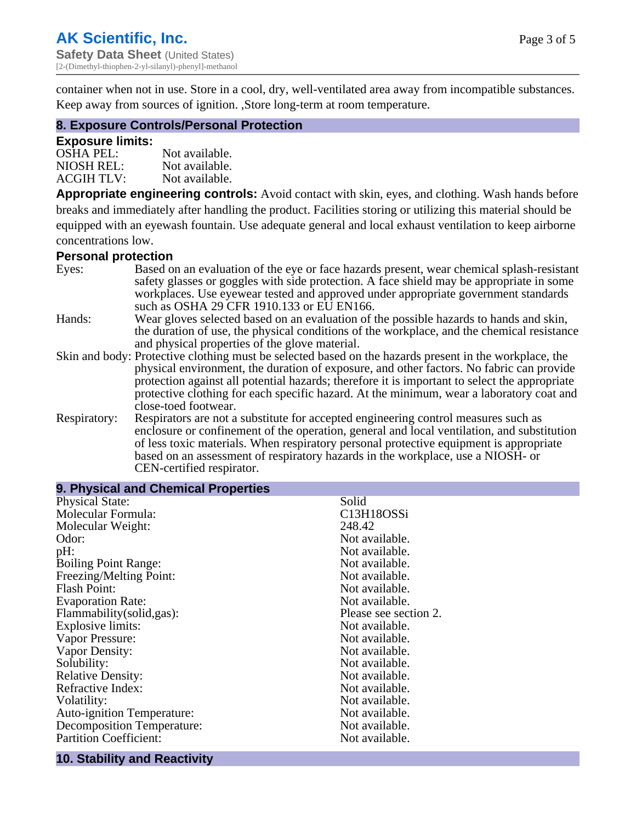container when not in use. Store in a cool, dry, well-ventilated area away from incompatible substances. Keep away from sources of ignition. ,Store long-term at room temperature.

#### **8. Exposure Controls/Personal Protection**

#### **Exposure limits:**

| $OSHA$ PEL:       | Not available. |
|-------------------|----------------|
| NIOSH REL:        | Not available. |
| <b>ACGIH TLV:</b> | Not available. |

**Appropriate engineering controls:** Avoid contact with skin, eyes, and clothing. Wash hands before breaks and immediately after handling the product. Facilities storing or utilizing this material should be equipped with an eyewash fountain. Use adequate general and local exhaust ventilation to keep airborne concentrations low.

#### **Personal protection**

| Eyes:        | Based on an evaluation of the eye or face hazards present, wear chemical splash-resistant<br>safety glasses or goggles with side protection. A face shield may be appropriate in some |
|--------------|---------------------------------------------------------------------------------------------------------------------------------------------------------------------------------------|
|              | workplaces. Use eyewear tested and approved under appropriate government standards<br>such as OSHA 29 CFR 1910.133 or EU EN166.                                                       |
| Hands:       | Wear gloves selected based on an evaluation of the possible hazards to hands and skin,                                                                                                |
|              | the duration of use, the physical conditions of the workplace, and the chemical resistance                                                                                            |
|              | and physical properties of the glove material.                                                                                                                                        |
|              | Skin and body: Protective clothing must be selected based on the hazards present in the workplace, the                                                                                |
|              | physical environment, the duration of exposure, and other factors. No fabric can provide                                                                                              |
|              | protection against all potential hazards; therefore it is important to select the appropriate                                                                                         |
|              | protective clothing for each specific hazard. At the minimum, wear a laboratory coat and                                                                                              |
|              | close-toed footwear.                                                                                                                                                                  |
| Respiratory: | Respirators are not a substitute for accepted engineering control measures such as<br>enclosure or confinement of the operation, general and local ventilation, and substitution      |
|              | of less toxic materials. When respiratory personal protective equipment is appropriate                                                                                                |
|              | based on an assessment of respiratory hazards in the workplace, use a NIOSH- or                                                                                                       |
|              | CEN-certified respirator.                                                                                                                                                             |

| 9. Physical and Chemical Properties |                       |
|-------------------------------------|-----------------------|
| <b>Physical State:</b>              | Solid                 |
| Molecular Formula:                  | C13H18OSSi            |
| Molecular Weight:                   | 248.42                |
| Odor:                               | Not available.        |
| pH:                                 | Not available.        |
| <b>Boiling Point Range:</b>         | Not available.        |
| Freezing/Melting Point:             | Not available.        |
| <b>Flash Point:</b>                 | Not available.        |
| <b>Evaporation Rate:</b>            | Not available.        |
| Flammability(solid,gas):            | Please see section 2. |
| <b>Explosive limits:</b>            | Not available.        |
| Vapor Pressure:                     | Not available.        |
| Vapor Density:                      | Not available.        |
| Solubility:                         | Not available.        |
| <b>Relative Density:</b>            | Not available.        |
| Refractive Index:                   | Not available.        |
| Volatility:                         | Not available.        |
| <b>Auto-ignition Temperature:</b>   | Not available.        |
| Decomposition Temperature:          | Not available.        |
| <b>Partition Coefficient:</b>       | Not available.        |
|                                     |                       |

## **10. Stability and Reactivity**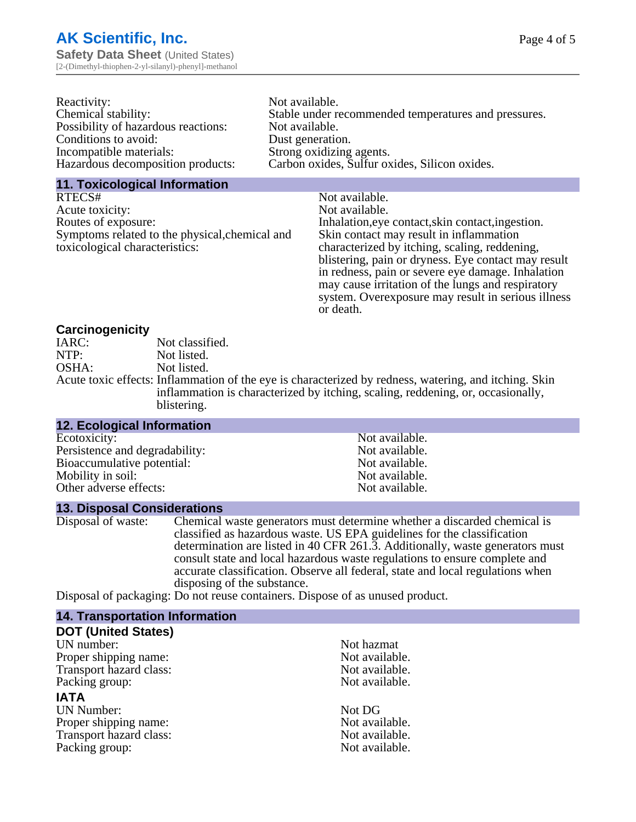| Reactivity:                         | Not available.                                       |
|-------------------------------------|------------------------------------------------------|
| Chemical stability:                 | Stable under recommended temperatures and pressures. |
| Possibility of hazardous reactions: | Not available.                                       |
| Conditions to avoid:                | Dust generation.                                     |
| Incompatible materials:             | Strong oxidizing agents.                             |
| Hazardous decomposition products:   | Carbon oxides, Sulfur oxides, Silicon oxides.        |

#### **11. Toxicological Information**

| RTECS#                                         | Not available.                                      |
|------------------------------------------------|-----------------------------------------------------|
| Acute toxicity:                                | Not available.                                      |
| Routes of exposure:                            | Inhalation, eye contact, skin contact, ingestion.   |
| Symptoms related to the physical, chemical and | Skin contact may result in inflammation             |
| toxicological characteristics:                 | characterized by itching, scaling, reddening,       |
|                                                | blistering, pain or dryness. Eye contact may result |
|                                                | in redness, pain or severe eye damage. Inhalation   |
|                                                | may cause irritation of the lungs and respiratory   |
|                                                | system. Overexposure may result in serious illness  |

or death.

#### **Carcinogenicity**

| IARC: | Not classified.                                                                                       |
|-------|-------------------------------------------------------------------------------------------------------|
| NTP:  | Not listed.                                                                                           |
| OSHA: | Not listed.                                                                                           |
|       | Acute toxic effects: Inflammation of the eye is characterized by redness, watering, and itching. Skin |
|       | inflammation is characterized by itching, scaling, reddening, or, occasionally,                       |
|       | blistering.                                                                                           |

| <b>12. Ecological Information</b> |                |
|-----------------------------------|----------------|
| Ecotoxicity:                      | Not available. |
| Persistence and degradability:    | Not available. |
| Bioaccumulative potential:        | Not available. |
| Mobility in soil:                 | Not available. |
| Other adverse effects:            | Not available. |

#### **13. Disposal Considerations**

Disposal of waste: Chemical waste generators must determine whether a discarded chemical is classified as hazardous waste. US EPA guidelines for the classification determination are listed in 40 CFR 261.3. Additionally, waste generators must consult state and local hazardous waste regulations to ensure complete and accurate classification. Observe all federal, state and local regulations when disposing of the substance.

Disposal of packaging: Do not reuse containers. Dispose of as unused product.

| <b>14. Transportation Information</b> |                |
|---------------------------------------|----------------|
| <b>DOT (United States)</b>            |                |
| UN number:                            | Not hazmat     |
| Proper shipping name:                 | Not available. |
| Transport hazard class:               | Not available. |
| Packing group:                        | Not available. |
| <b>IATA</b>                           |                |
| <b>UN Number:</b>                     | Not DG         |
| Proper shipping name:                 | Not available. |
| Transport hazard class:               | Not available. |
| Packing group:                        | Not available. |